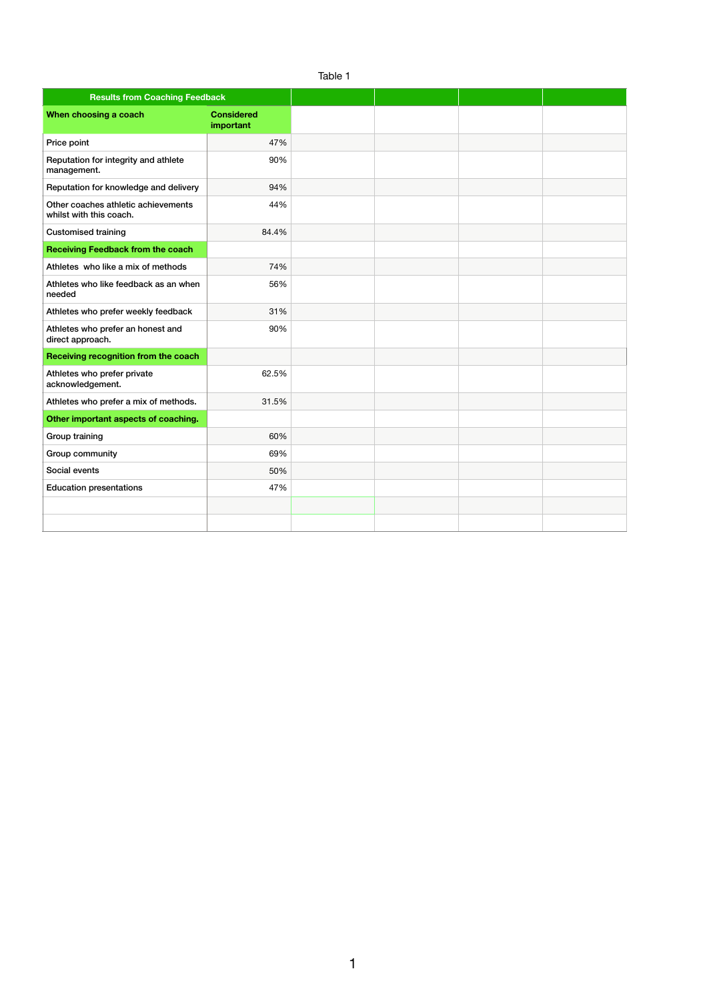| Table 1                                                        |                                |  |  |  |  |  |  |
|----------------------------------------------------------------|--------------------------------|--|--|--|--|--|--|
| <b>Results from Coaching Feedback</b>                          |                                |  |  |  |  |  |  |
| When choosing a coach                                          | <b>Considered</b><br>important |  |  |  |  |  |  |
| Price point                                                    | 47%                            |  |  |  |  |  |  |
| Reputation for integrity and athlete<br>management.            | 90%                            |  |  |  |  |  |  |
| Reputation for knowledge and delivery                          | 94%                            |  |  |  |  |  |  |
| Other coaches athletic achievements<br>whilst with this coach. | 44%                            |  |  |  |  |  |  |
| <b>Customised training</b>                                     | 84.4%                          |  |  |  |  |  |  |
| <b>Receiving Feedback from the coach</b>                       |                                |  |  |  |  |  |  |
| Athletes who like a mix of methods                             | 74%                            |  |  |  |  |  |  |
| Athletes who like feedback as an when<br>needed                | 56%                            |  |  |  |  |  |  |
| Athletes who prefer weekly feedback                            | 31%                            |  |  |  |  |  |  |
| Athletes who prefer an honest and<br>direct approach.          | 90%                            |  |  |  |  |  |  |
| Receiving recognition from the coach                           |                                |  |  |  |  |  |  |
| Athletes who prefer private<br>acknowledgement.                | 62.5%                          |  |  |  |  |  |  |
| Athletes who prefer a mix of methods.                          | 31.5%                          |  |  |  |  |  |  |
| Other important aspects of coaching.                           |                                |  |  |  |  |  |  |
| Group training                                                 | 60%                            |  |  |  |  |  |  |
| Group community                                                | 69%                            |  |  |  |  |  |  |
| Social events                                                  | 50%                            |  |  |  |  |  |  |
| <b>Education presentations</b>                                 | 47%                            |  |  |  |  |  |  |
|                                                                |                                |  |  |  |  |  |  |
|                                                                |                                |  |  |  |  |  |  |

1